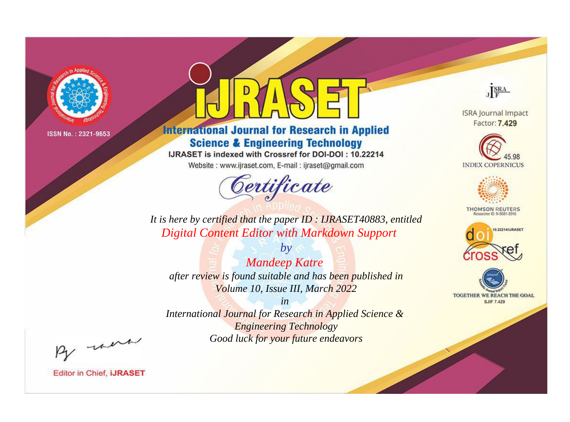

# **International Journal for Research in Applied Science & Engineering Technology**

IJRASET is indexed with Crossref for DOI-DOI: 10.22214

Website: www.ijraset.com, E-mail: ijraset@gmail.com



JERA

**ISRA Journal Impact** Factor: 7.429





**THOMSON REUTERS** 



TOGETHER WE REACH THE GOAL **SJIF 7.429** 

*It is here by certified that the paper ID : IJRASET40883, entitled Digital Content Editor with Markdown Support*

*by Mandeep Katre after review is found suitable and has been published in Volume 10, Issue III, March 2022*

*in* 

*International Journal for Research in Applied Science & Engineering Technology Good luck for your future endeavors*

By morn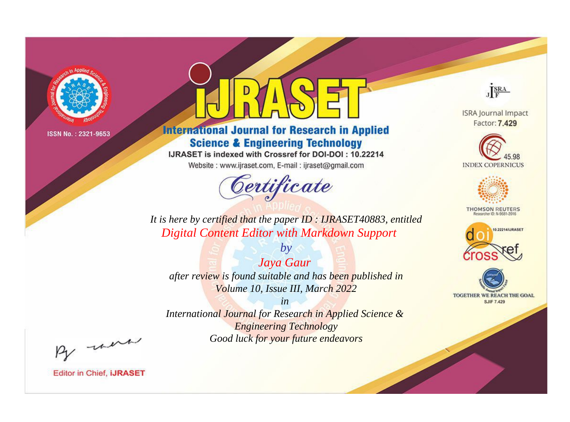

# **International Journal for Research in Applied Science & Engineering Technology**

IJRASET is indexed with Crossref for DOI-DOI: 10.22214

Website: www.ijraset.com, E-mail: ijraset@gmail.com



JERA

**ISRA Journal Impact** Factor: 7.429





**THOMSON REUTERS** 



TOGETHER WE REACH THE GOAL **SJIF 7.429** 

*It is here by certified that the paper ID : IJRASET40883, entitled Digital Content Editor with Markdown Support*

*Jaya Gaur after review is found suitable and has been published in Volume 10, Issue III, March 2022*

*by*

*in* 

*International Journal for Research in Applied Science & Engineering Technology Good luck for your future endeavors*

By morn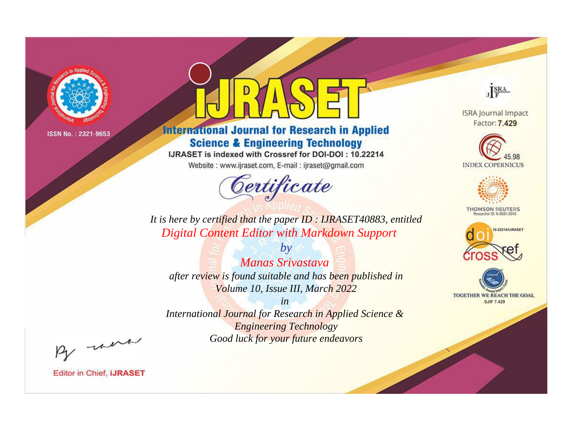

# **International Journal for Research in Applied Science & Engineering Technology**

IJRASET is indexed with Crossref for DOI-DOI: 10.22214

Website: www.ijraset.com, E-mail: ijraset@gmail.com



JERA

**ISRA Journal Impact** Factor: 7.429





**THOMSON REUTERS** 



TOGETHER WE REACH THE GOAL **SJIF 7.429** 

It is here by certified that the paper ID: IJRASET40883, entitled **Digital Content Editor with Markdown Support** 

**Manas Srivastava** after review is found suitable and has been published in Volume 10, Issue III, March 2022

 $b\nu$ 

 $in$ International Journal for Research in Applied Science & **Engineering Technology** Good luck for your future endeavors

By morn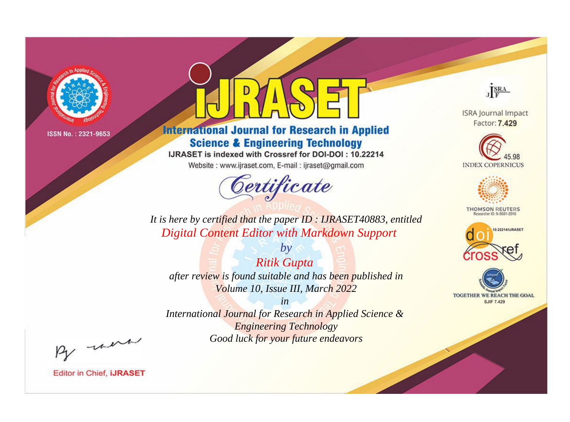

# **International Journal for Research in Applied Science & Engineering Technology**

IJRASET is indexed with Crossref for DOI-DOI: 10.22214

Website: www.ijraset.com, E-mail: ijraset@gmail.com



JERA

**ISRA Journal Impact** Factor: 7.429





**THOMSON REUTERS** 



TOGETHER WE REACH THE GOAL **SJIF 7.429** 

*It is here by certified that the paper ID : IJRASET40883, entitled Digital Content Editor with Markdown Support*

*Ritik Gupta after review is found suitable and has been published in Volume 10, Issue III, March 2022*

*by*

*in* 

*International Journal for Research in Applied Science & Engineering Technology Good luck for your future endeavors*

By morn